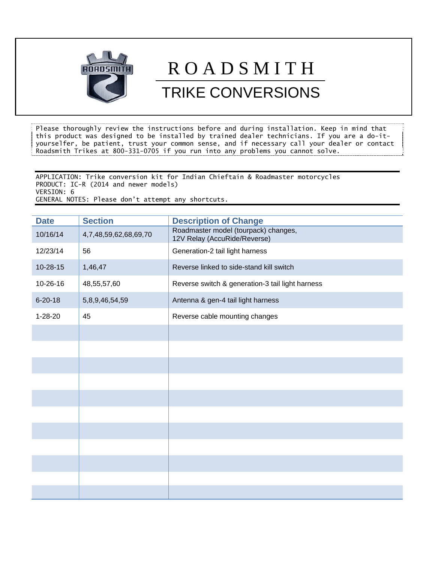

## R O A D S M I T H

## TRIKE CONVERSIONS

Please thoroughly review the instructions before and during installation. Keep in mind that this product was designed to be installed by trained dealer technicians. If you are a do-ityourselfer, be patient, trust your common sense, and if necessary call your dealer or contact Roadsmith Trikes at 800-331-0705 if you run into any problems you cannot solve.

APPLICATION: Trike conversion kit for Indian Chieftain & Roadmaster motorcycles PRODUCT: IC-R (2014 and newer models) VERSION: 6 GENERAL NOTES: Please don't attempt any shortcuts.

| <b>Date</b>   | <b>Section</b>        | <b>Description of Change</b>                                         |
|---------------|-----------------------|----------------------------------------------------------------------|
| 10/16/14      | 4,7,48,59,62,68,69,70 | Roadmaster model (tourpack) changes,<br>12V Relay (AccuRide/Reverse) |
| 12/23/14      | 56                    | Generation-2 tail light harness                                      |
| 10-28-15      | 1,46,47               | Reverse linked to side-stand kill switch                             |
| 10-26-16      | 48,55,57,60           | Reverse switch & generation-3 tail light harness                     |
| $6 - 20 - 18$ | 5,8,9,46,54,59        | Antenna & gen-4 tail light harness                                   |
| $1 - 28 - 20$ | 45                    | Reverse cable mounting changes                                       |
|               |                       |                                                                      |
|               |                       |                                                                      |
|               |                       |                                                                      |
|               |                       |                                                                      |
|               |                       |                                                                      |
|               |                       |                                                                      |
|               |                       |                                                                      |
|               |                       |                                                                      |
|               |                       |                                                                      |
|               |                       |                                                                      |
|               |                       |                                                                      |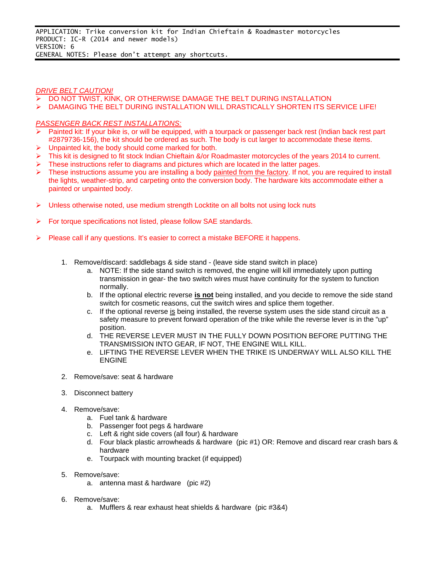## *DRIVE BELT CAUTION!*

- DO NOT TWIST, KINK, OR OTHERWISE DAMAGE THE BELT DURING INSTALLATION
- DAMAGING THE BELT DURING INSTALLATION WILL DRASTICALLY SHORTEN ITS SERVICE LIFE!

## *PASSENGER BACK REST INSTALLATIONS:*

- $\triangleright$  Painted kit: If your bike is, or will be equipped, with a tourpack or passenger back rest (Indian back rest part #2879736-156), the kit should be ordered as such. The body is cut larger to accommodate these items.
- $\triangleright$  Unpainted kit, the body should come marked for both.
- $\triangleright$  This kit is designed to fit stock Indian Chieftain &/or Roadmaster motorcycles of the years 2014 to current.
- These instructions refer to diagrams and pictures which are located in the latter pages.
- These instructions assume you are installing a body painted from the factory. If not, you are required to install the lights, weather-strip, and carpeting onto the conversion body. The hardware kits accommodate either a painted or unpainted body.
- $\triangleright$  Unless otherwise noted, use medium strength Locktite on all bolts not using lock nuts
- $\triangleright$  For torque specifications not listed, please follow SAE standards.
- Please call if any questions. It's easier to correct a mistake BEFORE it happens.
	- 1. Remove/discard: saddlebags & side stand (leave side stand switch in place)
		- a. NOTE: If the side stand switch is removed, the engine will kill immediately upon putting transmission in gear- the two switch wires must have continuity for the system to function normally.
		- b. If the optional electric reverse **is not** being installed, and you decide to remove the side stand switch for cosmetic reasons, cut the switch wires and splice them together.
		- c. If the optional reverse is being installed, the reverse system uses the side stand circuit as a safety measure to prevent forward operation of the trike while the reverse lever is in the "up" position.
		- d. THE REVERSE LEVER MUST IN THE FULLY DOWN POSITION BEFORE PUTTING THE TRANSMISSION INTO GEAR, IF NOT, THE ENGINE WILL KILL.
		- e. LIFTING THE REVERSE LEVER WHEN THE TRIKE IS UNDERWAY WILL ALSO KILL THE ENGINE
	- 2. Remove/save: seat & hardware
	- 3. Disconnect battery
	- 4. Remove/save:
		- a. Fuel tank & hardware
		- b. Passenger foot pegs & hardware
		- c. Left & right side covers (all four) & hardware
		- d. Four black plastic arrowheads & hardware (pic #1) OR: Remove and discard rear crash bars & hardware
		- e. Tourpack with mounting bracket (if equipped)
	- 5. Remove/save:
		- a. antenna mast & hardware (pic #2)
	- 6. Remove/save:
		- a. Mufflers & rear exhaust heat shields & hardware (pic #3&4)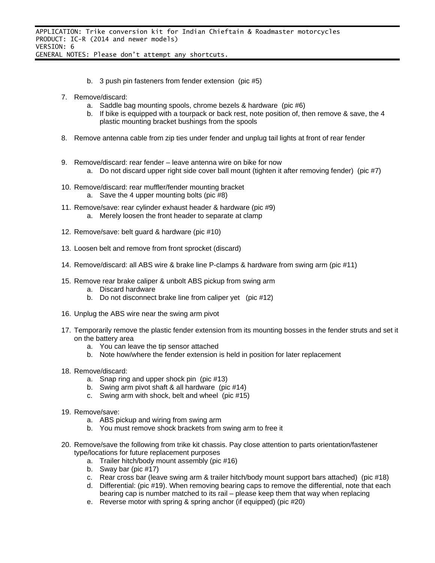- b. 3 push pin fasteners from fender extension (pic #5)
- 7. Remove/discard:
	- a. Saddle bag mounting spools, chrome bezels & hardware (pic #6)
	- b. If bike is equipped with a tourpack or back rest, note position of, then remove & save, the 4 plastic mounting bracket bushings from the spools
- 8. Remove antenna cable from zip ties under fender and unplug tail lights at front of rear fender
- 9. Remove/discard: rear fender leave antenna wire on bike for now a. Do not discard upper right side cover ball mount (tighten it after removing fender) (pic #7)
- 10. Remove/discard: rear muffler/fender mounting bracket a. Save the 4 upper mounting bolts (pic #8)
- 11. Remove/save: rear cylinder exhaust header & hardware (pic #9) a. Merely loosen the front header to separate at clamp
- 12. Remove/save: belt guard & hardware (pic #10)
- 13. Loosen belt and remove from front sprocket (discard)
- 14. Remove/discard: all ABS wire & brake line P-clamps & hardware from swing arm (pic #11)
- 15. Remove rear brake caliper & unbolt ABS pickup from swing arm
	- a. Discard hardware
	- b. Do not disconnect brake line from caliper yet (pic #12)
- 16. Unplug the ABS wire near the swing arm pivot
- 17. Temporarily remove the plastic fender extension from its mounting bosses in the fender struts and set it on the battery area
	- a. You can leave the tip sensor attached
	- b. Note how/where the fender extension is held in position for later replacement
- 18. Remove/discard:
	- a. Snap ring and upper shock pin (pic #13)
	- b. Swing arm pivot shaft & all hardware (pic #14)
	- c. Swing arm with shock, belt and wheel (pic #15)
- 19. Remove/save:
	- a. ABS pickup and wiring from swing arm
	- b. You must remove shock brackets from swing arm to free it
- 20. Remove/save the following from trike kit chassis. Pay close attention to parts orientation/fastener type/locations for future replacement purposes
	- a. Trailer hitch/body mount assembly (pic #16)
	- b. Sway bar (pic #17)
	- c. Rear cross bar (leave swing arm & trailer hitch/body mount support bars attached) (pic #18)
	- d. Differential: (pic #19). When removing bearing caps to remove the differential, note that each bearing cap is number matched to its rail – please keep them that way when replacing
	- e. Reverse motor with spring & spring anchor (if equipped) (pic #20)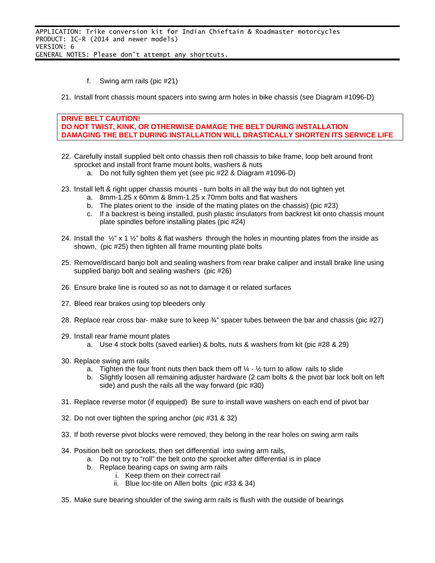- f. Swing arm rails (pic #21)
- 21. Install front chassis mount spacers into swing arm holes in bike chassis (see Diagram #1096-D)

```
DRIVE BELT CAUTION! 
DO NOT TWIST, KINK, OR OTHERWISE DAMAGE THE BELT DURING INSTALLATION 
DAMAGING THE BELT DURING INSTALLATION WILL DRASTICALLY SHORTEN ITS SERVICE LIFE
```
- 22. Carefully install supplied belt onto chassis then roll chassis to bike frame, loop belt around front sprocket and install front frame mount bolts, washers & nuts
	- a. Do not fully tighten them yet (see pic #22 & Diagram #1096-D)
- 23. Install left & right upper chassis mounts turn bolts in all the way but do not tighten yet
	- a. 8mm-1.25 x 60mm & 8mm-1.25 x 70mm bolts and flat washers
	- b. The plates orient to the inside of the mating plates on the chassis) (pic #23)
	- c. If a backrest is being installed, push plastic insulators from backrest kit onto chassis mount plate spindles before installing plates (pic #24)
- 24. Install the  $\frac{1}{2}$ " x 1  $\frac{1}{2}$ " bolts & flat washers through the holes in mounting plates from the inside as shown, (pic #25) then tighten all frame mounting plate bolts
- 25. Remove/discard banjo bolt and sealing washers from rear brake caliper and install brake line using supplied banjo bolt and sealing washers (pic #26)
- 26. Ensure brake line is routed so as not to damage it or related surfaces
- 27. Bleed rear brakes using top bleeders only
- 28. Replace rear cross bar- make sure to keep ¾" spacer tubes between the bar and chassis (pic #27)
- 29. Install rear frame mount plates
	- a. Use 4 stock bolts (saved earlier) & bolts, nuts & washers from kit (pic #28 & 29)
- 30. Replace swing arm rails
	- a. Tighten the four front nuts then back them off  $\frac{1}{4}$   $\frac{1}{2}$  turn to allow rails to slide
	- b. Slightly loosen all remaining adjuster hardware (2 cam bolts & the pivot bar lock bolt on left side) and push the rails all the way forward (pic #30)
- 31. Replace reverse motor (if equipped) Be sure to install wave washers on each end of pivot bar
- 32. Do not over tighten the spring anchor (pic #31 & 32)
- 33. If both reverse pivot blocks were removed, they belong in the rear holes on swing arm rails
- 34. Position belt on sprockets, then set differential into swing arm rails,
	- a. Do not try to "roll" the belt onto the sprocket after differential is in place
	- b. Replace bearing caps on swing arm rails
		- i. Keep them on their correct rail
			- ii. Blue loc-tite on Allen bolts (pic #33 & 34)
- 35. Make sure bearing shoulder of the swing arm rails is flush with the outside of bearings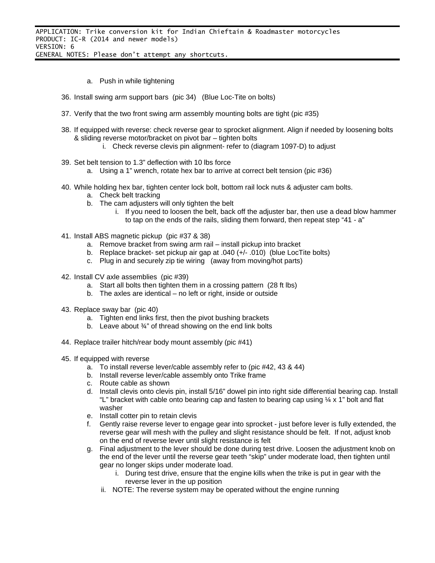- a. Push in while tightening
- 36. Install swing arm support bars (pic 34) (Blue Loc-Tite on bolts)
- 37. Verify that the two front swing arm assembly mounting bolts are tight (pic #35)
- 38. If equipped with reverse: check reverse gear to sprocket alignment. Align if needed by loosening bolts & sliding reverse motor/bracket on pivot bar – tighten bolts
	- i. Check reverse clevis pin alignment- refer to (diagram 1097-D) to adjust
- 39. Set belt tension to 1.3" deflection with 10 lbs force
	- a. Using a 1" wrench, rotate hex bar to arrive at correct belt tension (pic #36)
- 40. While holding hex bar, tighten center lock bolt, bottom rail lock nuts & adjuster cam bolts.
	- a. Check belt tracking
	- b. The cam adjusters will only tighten the belt
		- i. If you need to loosen the belt, back off the adjuster bar, then use a dead blow hammer to tap on the ends of the rails, sliding them forward, then repeat step "41 - a"
- 41. Install ABS magnetic pickup (pic #37 & 38)
	- a. Remove bracket from swing arm rail install pickup into bracket
	- b. Replace bracket- set pickup air gap at .040 (+/- .010) (blue LocTite bolts)
	- c. Plug in and securely zip tie wiring (away from moving/hot parts)
- 42. Install CV axle assemblies (pic #39)
	- a. Start all bolts then tighten them in a crossing pattern (28 ft lbs)
	- b. The axles are identical no left or right, inside or outside
- 43. Replace sway bar (pic 40)
	- a. Tighten end links first, then the pivot bushing brackets
	- b. Leave about  $\frac{3}{4}$ " of thread showing on the end link bolts
- 44. Replace trailer hitch/rear body mount assembly (pic #41)
- 45. If equipped with reverse
	- a. To install reverse lever/cable assembly refer to (pic #42, 43 & 44)
	- b. Install reverse lever/cable assembly onto Trike frame
	- c. Route cable as shown
	- d. Install clevis onto clevis pin, install 5/16" dowel pin into right side differential bearing cap. Install "L" bracket with cable onto bearing cap and fasten to bearing cap using  $\frac{1}{4} \times 1$ " bolt and flat washer
	- e. Install cotter pin to retain clevis
	- f. Gently raise reverse lever to engage gear into sprocket just before lever is fully extended, the reverse gear will mesh with the pulley and slight resistance should be felt. If not, adjust knob on the end of reverse lever until slight resistance is felt
	- g. Final adjustment to the lever should be done during test drive. Loosen the adjustment knob on the end of the lever until the reverse gear teeth "skip" under moderate load, then tighten until gear no longer skips under moderate load.
		- i. During test drive, ensure that the engine kills when the trike is put in gear with the reverse lever in the up position
		- ii. NOTE: The reverse system may be operated without the engine running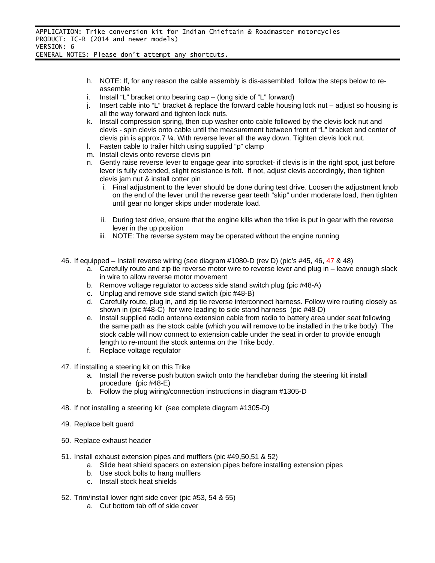- h. NOTE: If, for any reason the cable assembly is dis-assembled follow the steps below to reassemble
- i. Install "L" bracket onto bearing cap  $-$  (long side of "L" forward)
- j. Insert cable into "L" bracket & replace the forward cable housing lock nut adjust so housing is all the way forward and tighten lock nuts.
- k. Install compression spring, then cup washer onto cable followed by the clevis lock nut and clevis - spin clevis onto cable until the measurement between front of "L" bracket and center of clevis pin is approx.7 ¼. With reverse lever all the way down. Tighten clevis lock nut.
- l. Fasten cable to trailer hitch using supplied "p" clamp
- m. Install clevis onto reverse clevis pin
- n. Gently raise reverse lever to engage gear into sprocket- if clevis is in the right spot, just before lever is fully extended, slight resistance is felt. If not, adjust clevis accordingly, then tighten clevis jam nut & install cotter pin
	- i. Final adjustment to the lever should be done during test drive. Loosen the adjustment knob on the end of the lever until the reverse gear teeth "skip" under moderate load, then tighten until gear no longer skips under moderate load.
	- ii. During test drive, ensure that the engine kills when the trike is put in gear with the reverse lever in the up position
	- iii. NOTE: The reverse system may be operated without the engine running
- 46. If equipped Install reverse wiring (see diagram #1080-D (rev D) (pic's #45, 46, 47 & 48)
	- a. Carefully route and zip tie reverse motor wire to reverse lever and plug in leave enough slack in wire to allow reverse motor movement
	- b. Remove voltage regulator to access side stand switch plug (pic #48-A)
	- c. Unplug and remove side stand switch (pic #48-B)
	- d. Carefully route, plug in, and zip tie reverse interconnect harness. Follow wire routing closely as shown in (pic #48-C) for wire leading to side stand harness (pic #48-D)
	- e. Install supplied radio antenna extension cable from radio to battery area under seat following the same path as the stock cable (which you will remove to be installed in the trike body) The stock cable will now connect to extension cable under the seat in order to provide enough length to re-mount the stock antenna on the Trike body.
	- f. Replace voltage regulator
- 47. If installing a steering kit on this Trike
	- a. Install the reverse push button switch onto the handlebar during the steering kit install procedure (pic #48-E)
	- b. Follow the plug wiring/connection instructions in diagram #1305-D
- 48. If not installing a steering kit (see complete diagram #1305-D)
- 49. Replace belt guard
- 50. Replace exhaust header
- 51. Install exhaust extension pipes and mufflers (pic #49,50,51 & 52)
	- a. Slide heat shield spacers on extension pipes before installing extension pipes
	- b. Use stock bolts to hang mufflers
	- c. Install stock heat shields
- 52. Trim/install lower right side cover (pic #53, 54 & 55)
	- a. Cut bottom tab off of side cover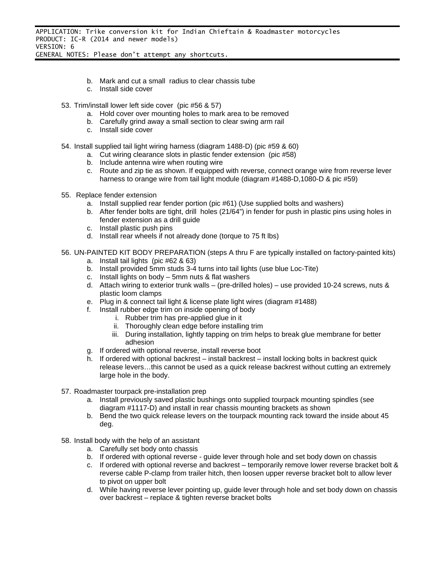- b. Mark and cut a small radius to clear chassis tube
- c. Install side cover
- 53. Trim/install lower left side cover (pic #56 & 57)
	- a. Hold cover over mounting holes to mark area to be removed
	- b. Carefully grind away a small section to clear swing arm rail
	- c. Install side cover
- 54. Install supplied tail light wiring harness (diagram 1488-D) (pic #59 & 60)
	- a. Cut wiring clearance slots in plastic fender extension (pic #58)
	- b. Include antenna wire when routing wire
	- c. Route and zip tie as shown. If equipped with reverse, connect orange wire from reverse lever harness to orange wire from tail light module (diagram #1488-D,1080-D & pic #59)
- 55. Replace fender extension
	- a. Install supplied rear fender portion (pic #61) (Use supplied bolts and washers)
	- b. After fender bolts are tight, drill holes (21/64") in fender for push in plastic pins using holes in fender extension as a drill guide
	- c. Install plastic push pins
	- d. Install rear wheels if not already done (torque to 75 ft lbs)
- 56. UN-PAINTED KIT BODY PREPARATION (steps A thru F are typically installed on factory-painted kits)
	- a. Install tail lights (pic #62 & 63)
	- b. Install provided 5mm studs 3-4 turns into tail lights (use blue Loc-Tite)
	- c. Install lights on body 5mm nuts & flat washers
	- d. Attach wiring to exterior trunk walls (pre-drilled holes) use provided 10-24 screws, nuts & plastic loom clamps
	- e. Plug in & connect tail light & license plate light wires (diagram #1488)
	- f. Install rubber edge trim on inside opening of body
		- i. Rubber trim has pre-applied glue in it
		- ii. Thoroughly clean edge before installing trim
		- iii. During installation, lightly tapping on trim helps to break glue membrane for better adhesion
	- g. If ordered with optional reverse, install reverse boot
	- h. If ordered with optional backrest install backrest install locking bolts in backrest quick release levers…this cannot be used as a quick release backrest without cutting an extremely large hole in the body.
- 57. Roadmaster tourpack pre-installation prep
	- a. Install previously saved plastic bushings onto supplied tourpack mounting spindles (see diagram #1117-D) and install in rear chassis mounting brackets as shown
	- b. Bend the two quick release levers on the tourpack mounting rack toward the inside about 45 deg.
- 58. Install body with the help of an assistant
	- a. Carefully set body onto chassis
	- b. If ordered with optional reverse guide lever through hole and set body down on chassis
	- c. If ordered with optional reverse and backrest temporarily remove lower reverse bracket bolt & reverse cable P-clamp from trailer hitch, then loosen upper reverse bracket bolt to allow lever to pivot on upper bolt
	- d. While having reverse lever pointing up, guide lever through hole and set body down on chassis over backrest – replace & tighten reverse bracket bolts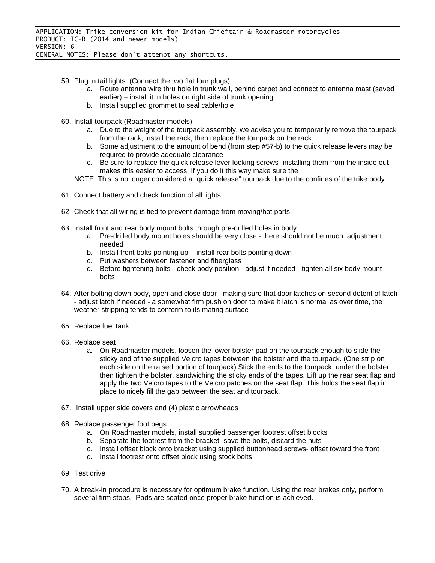- 59. Plug in tail lights (Connect the two flat four plugs)
	- a. Route antenna wire thru hole in trunk wall, behind carpet and connect to antenna mast (saved earlier) – install it in holes on right side of trunk opening
	- b. Install supplied grommet to seal cable/hole
- 60. Install tourpack (Roadmaster models)
	- a. Due to the weight of the tourpack assembly, we advise you to temporarily remove the tourpack from the rack, install the rack, then replace the tourpack on the rack
	- b. Some adjustment to the amount of bend (from step #57-b) to the quick release levers may be required to provide adequate clearance
	- c. Be sure to replace the quick release lever locking screws- installing them from the inside out makes this easier to access. If you do it this way make sure the
	- NOTE: This is no longer considered a "quick release" tourpack due to the confines of the trike body.
- 61. Connect battery and check function of all lights
- 62. Check that all wiring is tied to prevent damage from moving/hot parts
- 63. Install front and rear body mount bolts through pre-drilled holes in body
	- a. Pre-drilled body mount holes should be very close there should not be much adjustment needed
	- b. Install front bolts pointing up install rear bolts pointing down
	- c. Put washers between fastener and fiberglass
	- d. Before tightening bolts check body position adjust if needed tighten all six body mount bolts
- 64. After bolting down body, open and close door making sure that door latches on second detent of latch - adjust latch if needed - a somewhat firm push on door to make it latch is normal as over time, the weather stripping tends to conform to its mating surface
- 65. Replace fuel tank
- 66. Replace seat
	- a. On Roadmaster models, loosen the lower bolster pad on the tourpack enough to slide the sticky end of the supplied Velcro tapes between the bolster and the tourpack. (One strip on each side on the raised portion of tourpack) Stick the ends to the tourpack, under the bolster, then tighten the bolster, sandwiching the sticky ends of the tapes. Lift up the rear seat flap and apply the two Velcro tapes to the Velcro patches on the seat flap. This holds the seat flap in place to nicely fill the gap between the seat and tourpack.
- 67. Install upper side covers and (4) plastic arrowheads
- 68. Replace passenger foot pegs
	- a. On Roadmaster models, install supplied passenger footrest offset blocks
	- b. Separate the footrest from the bracket- save the bolts, discard the nuts
	- c. Install offset block onto bracket using supplied buttonhead screws- offset toward the front
	- d. Install footrest onto offset block using stock bolts
- 69. Test drive
- 70. A break-in procedure is necessary for optimum brake function. Using the rear brakes only, perform several firm stops. Pads are seated once proper brake function is achieved.